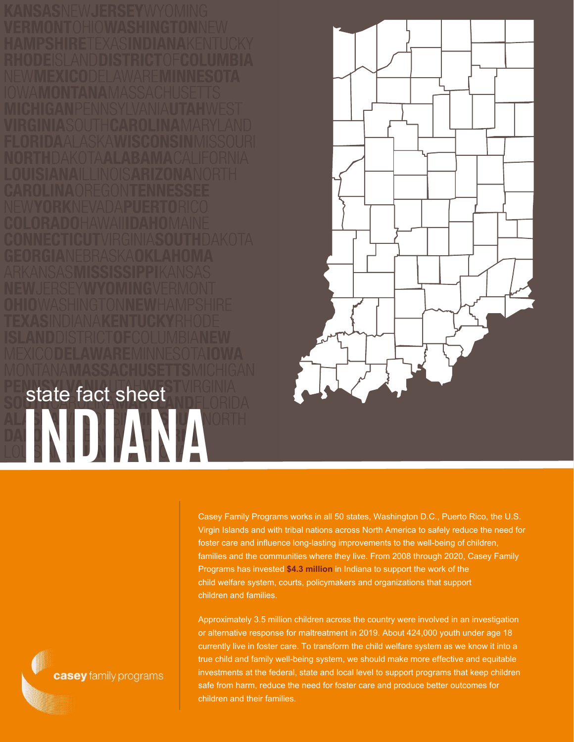**INDIANA** state fact sheet



Casey Family Programs works in all 50 states, Washington D.C., Puerto Rico, the U.S. Virgin Islands and with tribal nations across North America to safely reduce the need for foster care and influence long-lasting improvements to the well-being of children, families and the communities where they live. From 2008 through 2020, Casey Family Programs has invested **\$4.3 million** in Indiana to support the work of the child welfare system, courts, policymakers and organizations that support children and families.

Approximately 3.5 million children across the country were involved in an investigation or alternative response for maltreatment in 2019. About 424,000 youth under age 18 currently live in foster care. To transform the child welfare system as we know it into a true child and family well-being system, we should make more effective and equitable investments at the federal, state and local level to support programs that keep children safe from harm, reduce the need for foster care and produce better outcomes for children and their families.

casey family programs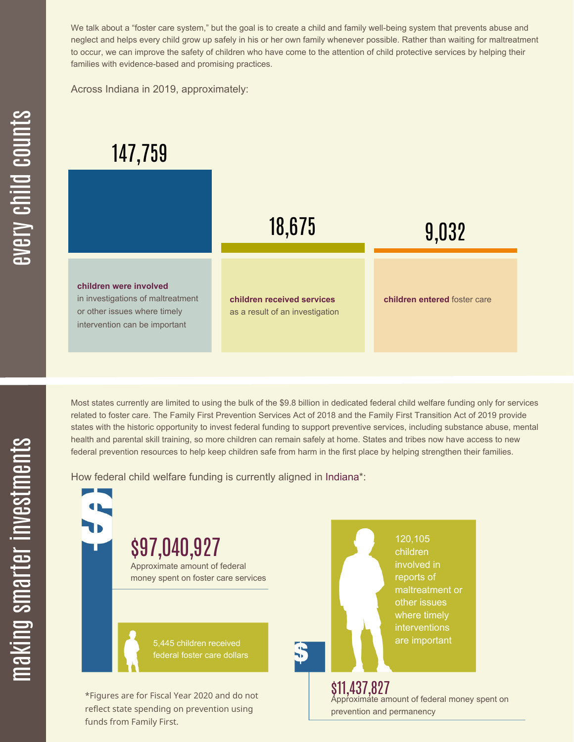We talk about a "foster care system," but the goal is to create a child and family well-being system that prevents abuse and neglect and helps every child grow up safely in his or her own family whenever possible. Rather than waiting for maltreatment to occur, we can improve the safety of children who have come to the attention of child protective services by helping their families with evidence-based and promising practices.

Across Indiana in 2019, approximately:

## 147,759

funds from Family First.



Most states currently are limited to using the bulk of the \$9.8 billion in dedicated federal child welfare funding only for services related to foster care. The Family First Prevention Services Act of 2018 and the Family First Transition Act of 2019 provide states with the historic opportunity to invest federal funding to support preventive services, including substance abuse, mental health and parental skill training, so more children can remain safely at home. States and tribes now have access to new federal prevention resources to help keep children safe from harm in the first place by helping strengthen their families.

How federal child welfare funding is currently aligned in Indiana\*:

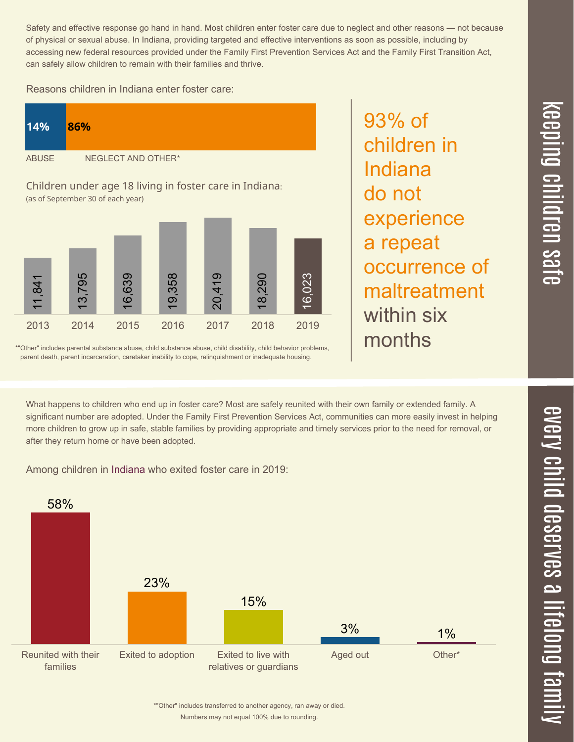Safety and effective response go hand in hand. Most children enter foster care due to neglect and other reasons — not because of physical or sexual abuse. In Indiana, providing targeted and effective interventions as soon as possible, including by accessing new federal resources provided under the Family First Prevention Services Act and the Family First Transition Act, can safely allow children to remain with their families and thrive.

## Reasons children in Indiana enter foster care:

| 14%                                                     | 86%                |
|---------------------------------------------------------|--------------------|
| <b>ABUSE</b>                                            | NEGLECT AND OTHER* |
| Children under age 18 living in foster care in Indiana: |                    |

(as of September 30 of each year)



\*"Other" includes parental substance abuse, child substance abuse, child disability, child behavior problems, parent death, parent incarceration, caretaker inability to cope, relinquishment or inadequate housing.

93% of children in Indiana do not experience a repeat occurrence of maltreatment within six months

 $\overline{\phantom{1}}$  $\overline{\mathbf \Theta}$  $\overline{\mathbf{C}}$ <u>pin</u>  $\overline{\mathbf{C}}$  $\overline{\mathbf{C}}$  $\equiv$  $\overline{\mathbf{c}}$  $\overline{\phantom{0}}$  $\boldsymbol{\mathcal{O}}$ a  $\overrightarrow{\mathbf{e}}$ 

What happens to children who end up in foster care? Most are safely reunited with their own family or extended family. A significant number are adopted. Under the Family First Prevention Services Act, communities can more easily invest in helping

more children to grow up in safe, stable families by providing appropriate and timely services prior to the need for removal, or

Among children in Indiana who exited foster care in 2019:

after they return home or have been adopted.